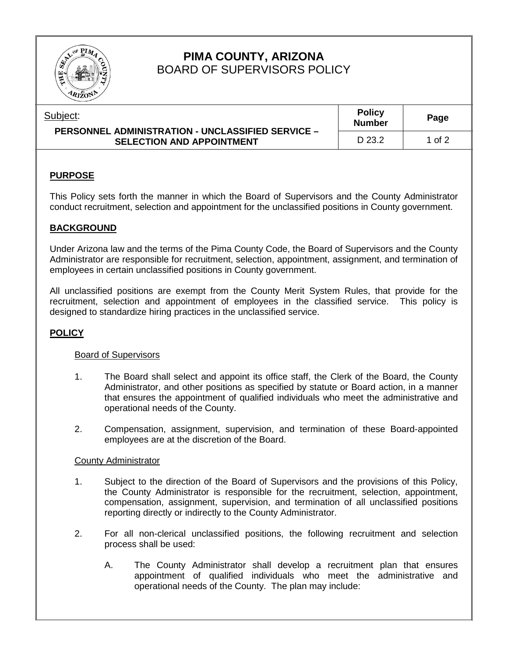

# **PIMA COUNTY, ARIZONA** BOARD OF SUPERVISORS POLICY

| upler |  |  |
|-------|--|--|
|       |  |  |

| ubject:<br><b>PERSONNEL ADMINISTRATION - UNCLASSIFIED SERVICE -</b> | <b>Policy</b><br><b>Number</b> | Page   |
|---------------------------------------------------------------------|--------------------------------|--------|
| <b>SELECTION AND APPOINTMENT</b>                                    | D 23.2                         | 1 of 2 |

### **PURPOSE**

This Policy sets forth the manner in which the Board of Supervisors and the County Administrator conduct recruitment, selection and appointment for the unclassified positions in County government.

# **BACKGROUND**

Under Arizona law and the terms of the Pima County Code, the Board of Supervisors and the County Administrator are responsible for recruitment, selection, appointment, assignment, and termination of employees in certain unclassified positions in County government.

All unclassified positions are exempt from the County Merit System Rules, that provide for the recruitment, selection and appointment of employees in the classified service. This policy is designed to standardize hiring practices in the unclassified service.

### **POLICY**

### Board of Supervisors

- 1. The Board shall select and appoint its office staff, the Clerk of the Board, the County Administrator, and other positions as specified by statute or Board action, in a manner that ensures the appointment of qualified individuals who meet the administrative and operational needs of the County.
- 2. Compensation, assignment, supervision, and termination of these Board-appointed employees are at the discretion of the Board.

### County Administrator

- 1. Subject to the direction of the Board of Supervisors and the provisions of this Policy, the County Administrator is responsible for the recruitment, selection, appointment, compensation, assignment, supervision, and termination of all unclassified positions reporting directly or indirectly to the County Administrator.
- 2. For all non-clerical unclassified positions, the following recruitment and selection process shall be used:
	- A. The County Administrator shall develop a recruitment plan that ensures appointment of qualified individuals who meet the administrative and operational needs of the County. The plan may include: